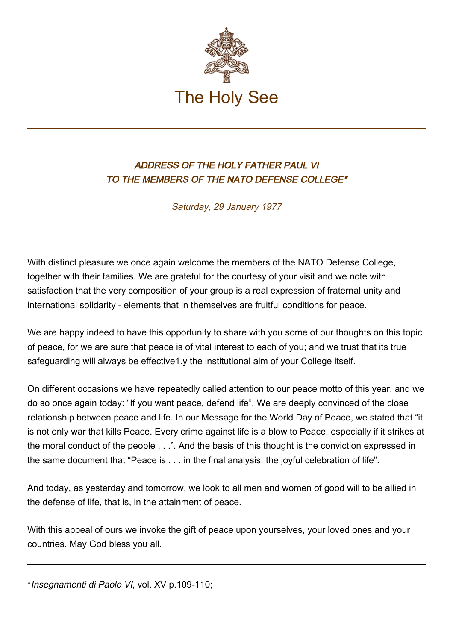

## ADDRESS OF THE HOLY FATHER PAUL VI TO THE MEMBERS OF THE NATO DEFENSE COLLEGE\*

Saturday, 29 January 1977

With distinct pleasure we once again welcome the members of the NATO Defense College, together with their families. We are grateful for the courtesy of your visit and we note with satisfaction that the very composition of your group is a real expression of fraternal unity and international solidarity - elements that in themselves are fruitful conditions for peace.

We are happy indeed to have this opportunity to share with you some of our thoughts on this topic of peace, for we are sure that peace is of vital interest to each of you; and we trust that its true safeguarding will always be effective1.y the institutional aim of your College itself.

On different occasions we have repeatedly called attention to our peace motto of this year, and we do so once again today: "If you want peace, defend life". We are deeply convinced of the close relationship between peace and life. In our Message for the World Day of Peace, we stated that "it is not only war that kills Peace. Every crime against life is a blow to Peace, especially if it strikes at the moral conduct of the people . . .". And the basis of this thought is the conviction expressed in the same document that "Peace is . . . in the final analysis, the joyful celebration of life".

And today, as yesterday and tomorrow, we look to all men and women of good will to be allied in the defense of life, that is, in the attainment of peace.

With this appeal of ours we invoke the gift of peace upon yourselves, your loved ones and your countries. May God bless you all.

\*Insegnamenti di Paolo VI, vol. XV p.109-110;